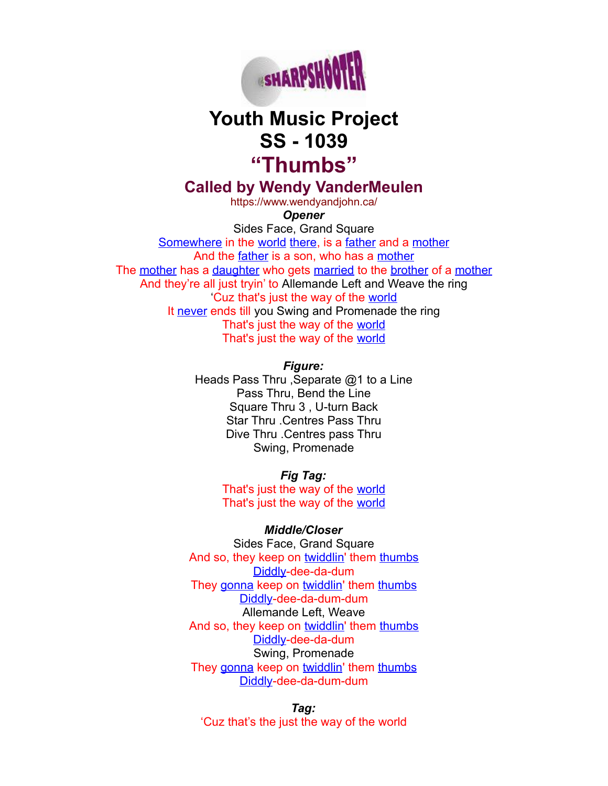

## **Youth Music Project SS - 1039 "Thumbs"**

**Called by Wendy VanderMeulen**

https://www.wendyandjohn.ca/ *Opener*

Sides Face, Grand Square [Somewhere](http://www.definitions.net/definition/Somewhere) in the [world](http://www.definitions.net/definition/world) [there,](http://www.definitions.net/definition/there) is a [father](http://www.definitions.net/definition/father) and a [mother](http://www.definitions.net/definition/mother) And the [father](http://www.definitions.net/definition/father) is a son, who has a [mother](http://www.definitions.net/definition/mother) The [mother](http://www.definitions.net/definition/mother) has a [daughter](http://www.definitions.net/definition/daughter) who gets [married](http://www.definitions.net/definition/married) to the [brother](http://www.definitions.net/definition/brother) of a [mother](http://www.definitions.net/definition/mother) And they're all just tryin' to Allemande Left and Weave the ring 'Cuz that's just the way of the [world](http://www.definitions.net/definition/world) It [never](http://www.definitions.net/definition/never) ends till you Swing and Promenade the ring That's just the way of the [world](http://www.definitions.net/definition/world) That's just the way of the [world](http://www.definitions.net/definition/world)

> *Figure:* Heads Pass Thru , Separate @1 to a Line Pass Thru, Bend the Line Square Thru 3 , U-turn Back Star Thru .Centres Pass Thru Dive Thru .Centres pass Thru Swing, Promenade

> > *Fig Tag:* That's just the way of the [world](http://www.definitions.net/definition/world) That's just the way of the [world](http://www.definitions.net/definition/world)

## *Middle/Closer*

Sides Face, Grand Square And so, they keep on [twiddlin](http://www.definitions.net/definition/twiddlin)' them [thumbs](http://www.definitions.net/definition/thumbs) [Diddly-](http://www.definitions.net/definition/Skiddly)dee-da-dum They [gonna](http://www.definitions.net/definition/gonna) keep on [twiddlin'](http://www.definitions.net/definition/twiddlin) them [thumbs](http://www.definitions.net/definition/thumbs) [Diddly-](http://www.definitions.net/definition/Skiddly)dee-da-dum-dum Allemande Left, Weave And so, they keep on [twiddlin](http://www.definitions.net/definition/twiddlin)' them [thumbs](http://www.definitions.net/definition/thumbs) [Diddly-](http://www.definitions.net/definition/Skiddly)dee-da-dum Swing, Promenade They [gonna](http://www.definitions.net/definition/gonna) keep on [twiddlin'](http://www.definitions.net/definition/twiddlin) them [thumbs](http://www.definitions.net/definition/thumbs) [Diddly-](http://www.definitions.net/definition/Skiddly)dee-da-dum-dum

*Tag:* 'Cuz that's the just the way of the world